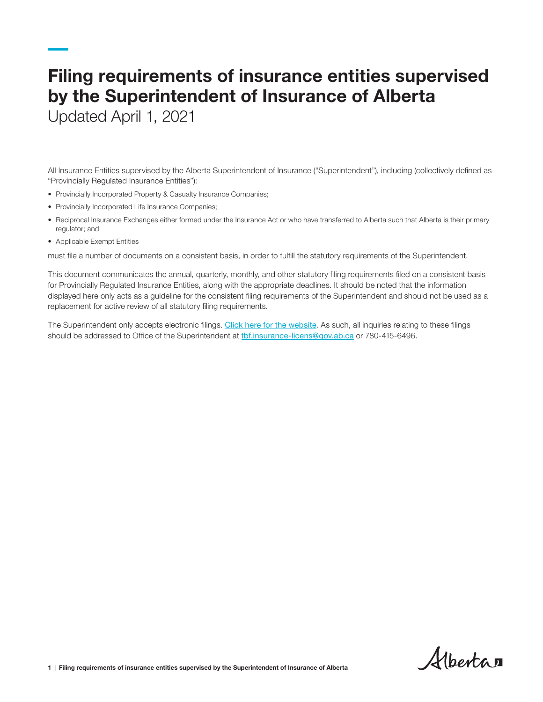# Filing requirements of insurance entities supervised by the Superintendent of Insurance of Alberta

Updated April 1, 2021

All Insurance Entities supervised by the Alberta Superintendent of Insurance ("Superintendent"), including (collectively defined as "Provincially Regulated Insurance Entities"):

- Provincially Incorporated Property & Casualty Insurance Companies;
- Provincially Incorporated Life Insurance Companies;
- Reciprocal Insurance Exchanges either formed under the Insurance Act or who have transferred to Alberta such that Alberta is their primary regulator; and
- Applicable Exempt Entities

must file a number of documents on a consistent basis, in order to fulfill the statutory requirements of the Superintendent.

This document communicates the annual, quarterly, monthly, and other statutory filing requirements filed on a consistent basis for Provincially Regulated Insurance Entities, along with the appropriate deadlines. It should be noted that the information displayed here only acts as a guideline for the consistent filing requirements of the Superintendent and should not be used as a replacement for active review of all statutory filing requirements.

The Superintendent only accepts electronic filings. [Click here for the website](https://insurancefilings.alberta.ca/Account/Login?ReturnUrl=/). As such, all inquiries relating to these filings should be addressed to Office of the Superintendent at the insurance-licens@gov.ab.ca or 780-415-6496.

Albertan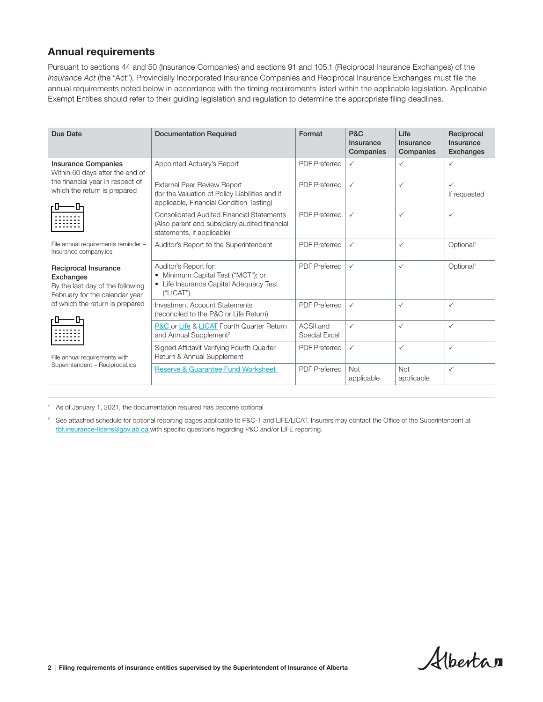#### Annual requirements

Pursuant to sections 44 and 50 (Insurance Companies) and sections 91 and 105.1 (Reciprocal Insurance Exchanges) of the *Insurance Act* (the "Act"), Provincially Incorporated Insurance Companies and Reciprocal Insurance Exchanges must file the annual requirements noted below in accordance with the timing requirements listed within the applicable legislation. Applicable Exempt Entities should refer to their guiding legislation and regulation to determine the appropriate filing deadlines.

| Due Date                                                                                                                                                                                                       | <b>Documentation Required</b>                                                                                                     | Format                     | P&C<br>Insurance<br>Companies | Life<br>Insurance<br>Companies | Reciprocal<br>Insurance<br><b>Exchanges</b> |
|----------------------------------------------------------------------------------------------------------------------------------------------------------------------------------------------------------------|-----------------------------------------------------------------------------------------------------------------------------------|----------------------------|-------------------------------|--------------------------------|---------------------------------------------|
| <b>Insurance Companies</b><br>Within 60 days after the end of<br>the financial year in respect of<br>which the return is prepared                                                                              | Appointed Actuary's Report                                                                                                        | <b>PDF</b> Preferred       | $\checkmark$                  | $\checkmark$                   | ✓                                           |
|                                                                                                                                                                                                                | <b>External Peer Review Report</b><br>(for the Valuation of Policy Liabilities and if<br>applicable, Financial Condition Testing) | <b>PDF</b> Preferred       | $\checkmark$                  | $\checkmark$                   | ✓<br>If requested                           |
|                                                                                                                                                                                                                | <b>Consolidated Audited Financial Statements</b><br>(Also parent and subsidiary audited financial<br>statements, if applicable)   | <b>PDF Preferred</b>       | ✓                             | $\checkmark$                   | ✓                                           |
| File annual requirements reminder -<br>Insurance company.ics                                                                                                                                                   | Auditor's Report to the Superintendent                                                                                            | <b>PDF</b> Preferred       | $\checkmark$                  | $\checkmark$                   | Optional <sup>1</sup>                       |
| Reciprocal Insurance<br>Exchanges<br>By the last day of the following<br>February for the calendar year<br>of which the return is prepared<br>File annual requirements with<br>Superintendent - Reciprocal.ics | Auditor's Report for:<br>• Minimum Capital Test ("MCT"); or<br>• Life Insurance Capital Adequacy Test<br>("LICAT")                | <b>PDF</b> Preferred       | $\checkmark$                  | $\checkmark$                   | Optional <sup>1</sup>                       |
|                                                                                                                                                                                                                | Investment Account Statements<br>(reconciled to the P&C or Life Return)                                                           | <b>PDF Preferred</b>       | $\checkmark$                  | $\checkmark$                   | $\checkmark$                                |
|                                                                                                                                                                                                                | <b>P&amp;C or Life &amp; LICAT Fourth Quarter Return</b><br>and Annual Supplement <sup>2</sup>                                    | ACSII and<br>Special Excel | $\checkmark$                  | $\checkmark$                   | $\checkmark$                                |
|                                                                                                                                                                                                                | Signed Affidavit Verifying Fourth Quarter<br>Return & Annual Supplement                                                           | <b>PDF Preferred</b>       | $\checkmark$                  | $\checkmark$                   | $\checkmark$                                |
|                                                                                                                                                                                                                | <b>Reserve &amp; Guarantee Fund Worksheet</b>                                                                                     | <b>PDF</b> Preferred       | <b>Not</b><br>applicable      | Not<br>applicable              | $\checkmark$                                |

<sup>1</sup> As of January 1, 2021, the documentation required has become optional

<sup>2</sup> See attached schedule for optional reporting pages applicable to P&C-1 and LIFE/LICAT. Insurers may contact the Office of the Superintendent at [tbf.insurance-licens@gov.ab.ca](mailto:tbf.insurance-licens%40gov.ab.ca%20?subject=) with specific questions regarding P&C and/or LIFE reporting.

Albertan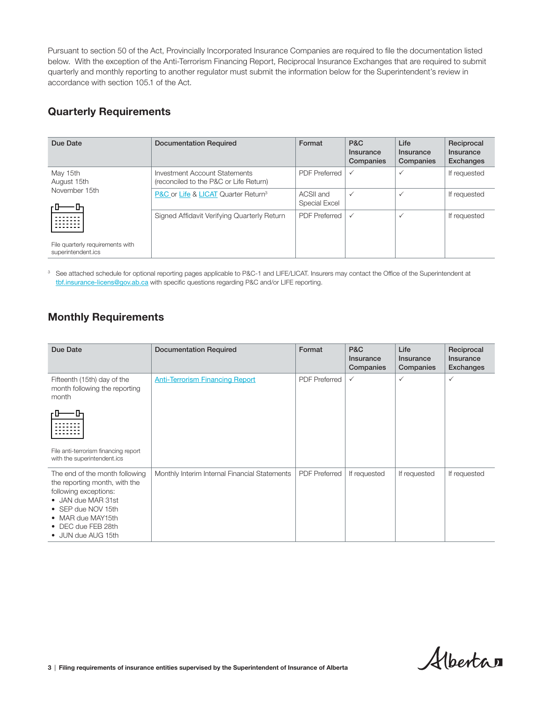Pursuant to section 50 of the Act, Provincially Incorporated Insurance Companies are required to file the documentation listed below. With the exception of the Anti-Terrorism Financing Report, Reciprocal Insurance Exchanges that are required to submit quarterly and monthly reporting to another regulator must submit the information below for the Superintendent's review in accordance with section 105.1 of the Act.

#### Quarterly Requirements

| Due Date                                               | <b>Documentation Required</b>                                           | Format                     | P&C<br>Insurance<br>Companies | Life<br>Insurance<br>Companies | Reciprocal<br>Insurance<br><b>Exchanges</b> |
|--------------------------------------------------------|-------------------------------------------------------------------------|----------------------------|-------------------------------|--------------------------------|---------------------------------------------|
| May 15th<br>August 15th<br>November 15th<br>⊩          | Investment Account Statements<br>(reconciled to the P&C or Life Return) | <b>PDF Preferred</b>       | $\checkmark$                  | $\checkmark$                   | If requested                                |
|                                                        | P&C or Life & LICAT Quarter Return <sup>3</sup>                         | ACSII and<br>Special Excel | $\checkmark$                  | $\checkmark$                   | If requested                                |
|                                                        | Signed Affidavit Verifying Quarterly Return                             | <b>PDF Preferred</b>       | $\checkmark$                  | $\checkmark$                   | If requested                                |
| File quarterly requirements with<br>superintendent.ics |                                                                         |                            |                               |                                |                                             |

<sup>3</sup> See attached schedule for optional reporting pages applicable to P&C-1 and LIFE/LICAT. Insurers may contact the Office of the Superintendent at [tbf.insurance-licens@gov.ab.ca](mailto:tbf.insurance-licens%40gov.ab.ca?subject=) with specific questions regarding P&C and/or LIFE reporting.

### Monthly Requirements

| Due Date                                                                                                                                                                                              | <b>Documentation Required</b>                 | Format               | <b>P&amp;C</b><br>Insurance<br>Companies | Life<br>Insurance<br>Companies | Reciprocal<br>Insurance<br>Exchanges |
|-------------------------------------------------------------------------------------------------------------------------------------------------------------------------------------------------------|-----------------------------------------------|----------------------|------------------------------------------|--------------------------------|--------------------------------------|
| Fifteenth (15th) day of the<br>month following the reporting<br>month                                                                                                                                 | <b>Anti-Terrorism Financing Report</b>        | <b>PDF Preferred</b> | $\checkmark$                             | ✓                              | $\checkmark$                         |
|                                                                                                                                                                                                       |                                               |                      |                                          |                                |                                      |
| File anti-terrorism financing report<br>with the superintendent.ics                                                                                                                                   |                                               |                      |                                          |                                |                                      |
| The end of the month following<br>the reporting month, with the<br>following exceptions:<br>• JAN due MAR 31st<br>• SEP due NOV 15th<br>• MAR due MAY15th<br>• DEC due FEB 28th<br>• JUN due AUG 15th | Monthly Interim Internal Financial Statements | <b>PDF Preferred</b> | If requested                             | If requested                   | If requested                         |

Albertan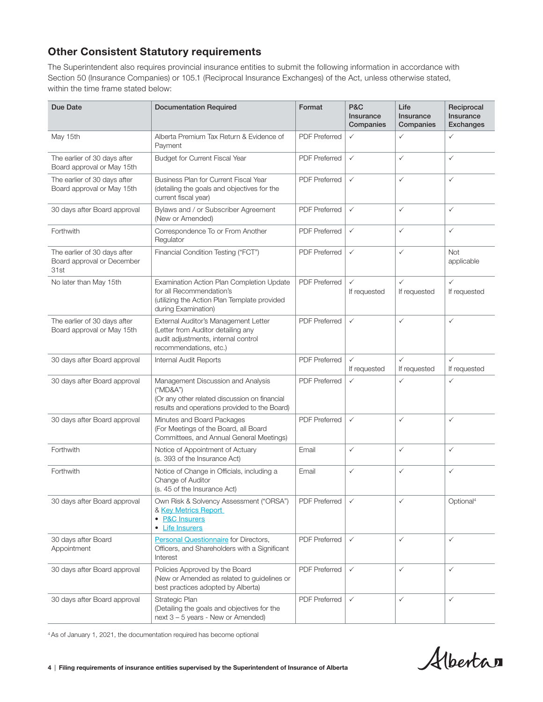### Other Consistent Statutory requirements

The Superintendent also requires provincial insurance entities to submit the following information in accordance with Section 50 (Insurance Companies) or 105.1 (Reciprocal Insurance Exchanges) of the Act, unless otherwise stated, within the time frame stated below:

| Due Date                                                           | <b>Documentation Required</b>                                                                                                                    | Format               | <b>P&amp;C</b><br><b>Insurance</b><br>Companies | Life<br>Insurance<br>Companies | Reciprocal<br>Insurance<br><b>Exchanges</b> |
|--------------------------------------------------------------------|--------------------------------------------------------------------------------------------------------------------------------------------------|----------------------|-------------------------------------------------|--------------------------------|---------------------------------------------|
| May 15th                                                           | Alberta Premium Tax Return & Evidence of<br>Payment                                                                                              | <b>PDF</b> Preferred | ✓                                               | $\checkmark$                   | $\checkmark$                                |
| The earlier of 30 days after<br>Board approval or May 15th         | Budget for Current Fiscal Year                                                                                                                   | <b>PDF</b> Preferred | $\checkmark$                                    | $\checkmark$                   | $\checkmark$                                |
| The earlier of 30 days after<br>Board approval or May 15th         | <b>Business Plan for Current Fiscal Year</b><br>(detailing the goals and objectives for the<br>current fiscal year)                              | <b>PDF Preferred</b> | $\checkmark$                                    | $\checkmark$                   | $\checkmark$                                |
| 30 days after Board approval                                       | Bylaws and / or Subscriber Agreement<br>(New or Amended)                                                                                         | <b>PDF Preferred</b> | $\checkmark$                                    | $\checkmark$                   | $\checkmark$                                |
| Forthwith                                                          | Correspondence To or From Another<br>Regulator                                                                                                   | <b>PDF</b> Preferred | $\checkmark$                                    | $\checkmark$                   | $\checkmark$                                |
| The earlier of 30 days after<br>Board approval or December<br>31st | Financial Condition Testing ("FCT")                                                                                                              | <b>PDF</b> Preferred | $\checkmark$                                    | $\checkmark$                   | Not<br>applicable                           |
| No later than May 15th                                             | Examination Action Plan Completion Update<br>for all Recommendation's<br>(utilizing the Action Plan Template provided<br>during Examination)     | <b>PDF</b> Preferred | $\checkmark$<br>If requested                    | $\checkmark$<br>If requested   | $\checkmark$<br>If requested                |
| The earlier of 30 days after<br>Board approval or May 15th         | External Auditor's Management Letter<br>(Letter from Auditor detailing any<br>audit adjustments, internal control<br>recommendations, etc.)      | <b>PDF Preferred</b> | $\checkmark$                                    | $\checkmark$                   | $\checkmark$                                |
| 30 days after Board approval                                       | Internal Audit Reports                                                                                                                           | <b>PDF Preferred</b> | $\checkmark$<br>If requested                    | $\checkmark$<br>If requested   | $\checkmark$<br>If requested                |
| 30 days after Board approval                                       | Management Discussion and Analysis<br>("MD&A")<br>(Or any other related discussion on financial<br>results and operations provided to the Board) | <b>PDF Preferred</b> | $\checkmark$                                    | $\checkmark$                   | $\checkmark$                                |
| 30 days after Board approval                                       | Minutes and Board Packages<br>(For Meetings of the Board, all Board<br>Committees, and Annual General Meetings)                                  | <b>PDF Preferred</b> | $\checkmark$                                    | $\checkmark$                   | $\checkmark$                                |
| Forthwith                                                          | Notice of Appointment of Actuary<br>(s. 393 of the Insurance Act)                                                                                | Email                | $\checkmark$                                    | $\checkmark$                   | $\checkmark$                                |
| Forthwith                                                          | Notice of Change in Officials, including a<br>Change of Auditor<br>(s. 45 of the Insurance Act)                                                  | Email                | $\checkmark$                                    | $\checkmark$                   | $\checkmark$                                |
| 30 days after Board approval                                       | Own Risk & Solvency Assessment ("ORSA")<br>& Key Metrics Report<br>• P&C Insurers<br>• Life Insurers                                             | <b>PDF Preferred</b> | $\checkmark$                                    | ✓                              | Optional <sup>4</sup>                       |
| 30 days after Board<br>Appointment                                 | <b>Personal Questionnaire</b> for Directors,<br>Officers, and Shareholders with a Significant<br>Interest                                        | <b>PDF Preferred</b> | $\checkmark$                                    | $\checkmark$                   | $\checkmark$                                |
| 30 days after Board approval                                       | Policies Approved by the Board<br>(New or Amended as related to guidelines or<br>best practices adopted by Alberta)                              | <b>PDF Preferred</b> | $\checkmark$                                    | $\checkmark$                   | $\checkmark$                                |
| 30 days after Board approval                                       | Strategic Plan<br>(Detailing the goals and objectives for the<br>next 3 - 5 years - New or Amended)                                              | <b>PDF Preferred</b> | $\checkmark$                                    | $\checkmark$                   | $\checkmark$                                |

4 As of January 1, 2021, the documentation required has become optional

Albertan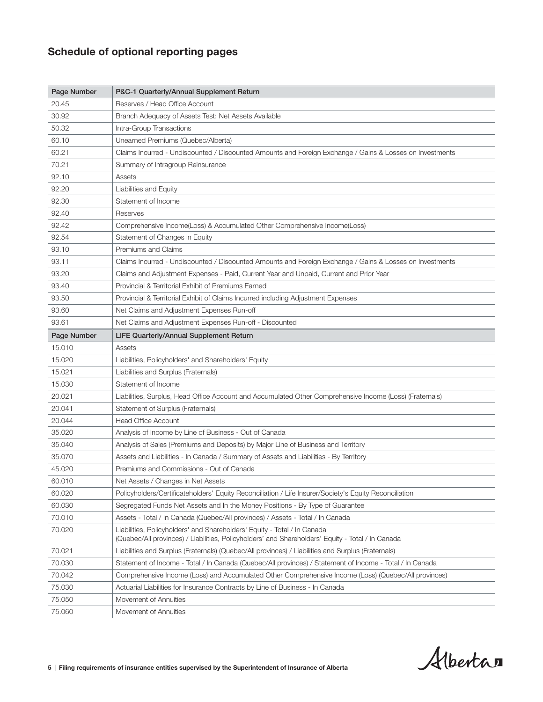## Schedule of optional reporting pages

| Page Number | P&C-1 Quarterly/Annual Supplement Return                                                                                                                                      |
|-------------|-------------------------------------------------------------------------------------------------------------------------------------------------------------------------------|
| 20.45       | Reserves / Head Office Account                                                                                                                                                |
| 30.92       | Branch Adequacy of Assets Test: Net Assets Available                                                                                                                          |
| 50.32       | Intra-Group Transactions                                                                                                                                                      |
| 60.10       | Unearned Premiums (Quebec/Alberta)                                                                                                                                            |
| 60.21       | Claims Incurred - Undiscounted / Discounted Amounts and Foreign Exchange / Gains & Losses on Investments                                                                      |
| 70.21       | Summary of Intragroup Reinsurance                                                                                                                                             |
| 92.10       | Assets                                                                                                                                                                        |
| 92.20       | Liabilities and Equity                                                                                                                                                        |
| 92.30       | Statement of Income                                                                                                                                                           |
| 92.40       | Reserves                                                                                                                                                                      |
| 92.42       | Comprehensive Income(Loss) & Accumulated Other Comprehensive Income(Loss)                                                                                                     |
| 92.54       | Statement of Changes in Equity                                                                                                                                                |
| 93.10       | Premiums and Claims                                                                                                                                                           |
| 93.11       | Claims Incurred - Undiscounted / Discounted Amounts and Foreign Exchange / Gains & Losses on Investments                                                                      |
| 93.20       | Claims and Adjustment Expenses - Paid, Current Year and Unpaid, Current and Prior Year                                                                                        |
| 93.40       | Provincial & Territorial Exhibit of Premiums Earned                                                                                                                           |
| 93.50       | Provincial & Territorial Exhibit of Claims Incurred including Adjustment Expenses                                                                                             |
| 93.60       | Net Claims and Adjustment Expenses Run-off                                                                                                                                    |
| 93.61       | Net Claims and Adjustment Expenses Run-off - Discounted                                                                                                                       |
| Page Number | LIFE Quarterly/Annual Supplement Return                                                                                                                                       |
| 15.010      | Assets                                                                                                                                                                        |
| 15.020      | Liabilities, Policyholders' and Shareholders' Equity                                                                                                                          |
| 15.021      | Liabilities and Surplus (Fraternals)                                                                                                                                          |
| 15.030      | Statement of Income                                                                                                                                                           |
| 20.021      | Liabilities, Surplus, Head Office Account and Accumulated Other Comprehensive Income (Loss) (Fraternals)                                                                      |
| 20.041      | Statement of Surplus (Fraternals)                                                                                                                                             |
| 20.044      | <b>Head Office Account</b>                                                                                                                                                    |
| 35.020      | Analysis of Income by Line of Business - Out of Canada                                                                                                                        |
| 35.040      | Analysis of Sales (Premiums and Deposits) by Major Line of Business and Territory                                                                                             |
| 35.070      | Assets and Liabilities - In Canada / Summary of Assets and Liabilities - By Territory                                                                                         |
| 45.020      | Premiums and Commissions - Out of Canada                                                                                                                                      |
| 60.010      | Net Assets / Changes in Net Assets                                                                                                                                            |
| 60.020      | Policyholders/Certificateholders' Equity Reconciliation / Life Insurer/Society's Equity Reconciliation                                                                        |
| 60.030      | Segregated Funds Net Assets and In the Money Positions - By Type of Guarantee                                                                                                 |
| 70.010      | Assets - Total / In Canada (Quebec/All provinces) / Assets - Total / In Canada                                                                                                |
| 70.020      | Liabilities, Policyholders' and Shareholders' Equity - Total / In Canada<br>(Quebec/All provinces) / Liabilities, Policyholders' and Shareholders' Equity - Total / In Canada |
| 70.021      | Liabilities and Surplus (Fraternals) (Quebec/All provinces) / Liabilities and Surplus (Fraternals)                                                                            |
| 70.030      | Statement of Income - Total / In Canada (Quebec/All provinces) / Statement of Income - Total / In Canada                                                                      |
| 70.042      | Comprehensive Income (Loss) and Accumulated Other Comprehensive Income (Loss) (Quebec/All provinces)                                                                          |
| 75.030      | Actuarial Liabilities for Insurance Contracts by Line of Business - In Canada                                                                                                 |
| 75.050      | Movement of Annuities                                                                                                                                                         |
| 75.060      | Movement of Annuities                                                                                                                                                         |

Alberta